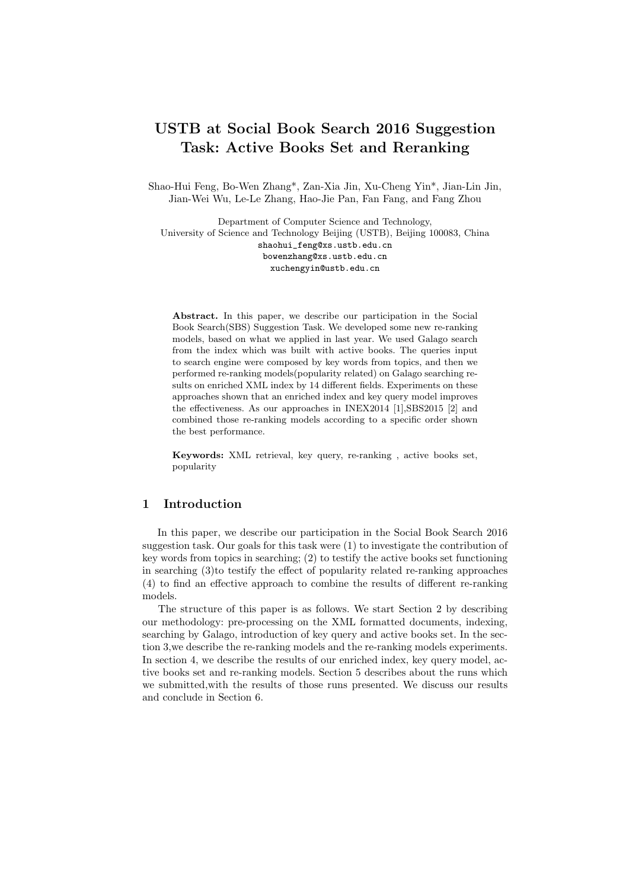# USTB at Social Book Search 2016 Suggestion Task: Active Books Set and Reranking

Shao-Hui Feng, Bo-Wen Zhang\*, Zan-Xia Jin, Xu-Cheng Yin\*, Jian-Lin Jin, Jian-Wei Wu, Le-Le Zhang, Hao-Jie Pan, Fan Fang, and Fang Zhou

Department of Computer Science and Technology, University of Science and Technology Beijing (USTB), Beijing 100083, China shaohui\_feng@xs.ustb.edu.cn bowenzhang@xs.ustb.edu.cn xuchengyin@ustb.edu.cn

Abstract. In this paper, we describe our participation in the Social Book Search(SBS) Suggestion Task. We developed some new re-ranking models, based on what we applied in last year. We used Galago search from the index which was built with active books. The queries input to search engine were composed by key words from topics, and then we performed re-ranking models(popularity related) on Galago searching results on enriched XML index by 14 different fields. Experiments on these approaches shown that an enriched index and key query model improves the effectiveness. As our approaches in INEX2014 [1],SBS2015 [2] and combined those re-ranking models according to a specific order shown the best performance.

Keywords: XML retrieval, key query, re-ranking , active books set, popularity

# 1 Introduction

In this paper, we describe our participation in the Social Book Search 2016 suggestion task. Our goals for this task were (1) to investigate the contribution of key words from topics in searching; (2) to testify the active books set functioning in searching (3)to testify the effect of popularity related re-ranking approaches (4) to find an effective approach to combine the results of different re-ranking models.

The structure of this paper is as follows. We start Section 2 by describing our methodology: pre-processing on the XML formatted documents, indexing, searching by Galago, introduction of key query and active books set. In the section 3,we describe the re-ranking models and the re-ranking models experiments. In section 4, we describe the results of our enriched index, key query model, active books set and re-ranking models. Section 5 describes about the runs which we submitted,with the results of those runs presented. We discuss our results and conclude in Section 6.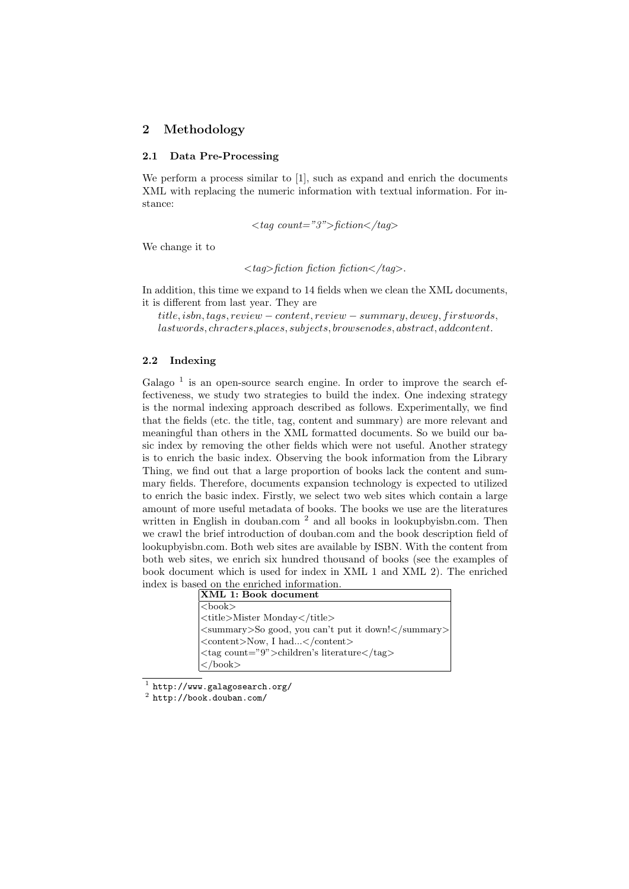# 2 Methodology

#### 2.1 Data Pre-Processing

We perform a process similar to [1], such as expand and enrich the documents XML with replacing the numeric information with textual information. For instance:

 $\langle tag \ count="3">\text{fiction}\langle \text{tagg}\rangle$ 

We change it to

 $\langle tag \rangle$ fiction fiction fiction $\langle tag \rangle$ .

In addition, this time we expand to 14 fields when we clean the XML documents, it is different from last year. They are

 $title, is bn, tags, review - content, review - summary, dewey, first words,$ lastwords, chracters,places, subjects, browsenodes, abstract, addcontent.

#### 2.2 Indexing

Galago<sup>1</sup> is an open-source search engine. In order to improve the search effectiveness, we study two strategies to build the index. One indexing strategy is the normal indexing approach described as follows. Experimentally, we find that the fields (etc. the title, tag, content and summary) are more relevant and meaningful than others in the XML formatted documents. So we build our basic index by removing the other fields which were not useful. Another strategy is to enrich the basic index. Observing the book information from the Library Thing, we find out that a large proportion of books lack the content and summary fields. Therefore, documents expansion technology is expected to utilized to enrich the basic index. Firstly, we select two web sites which contain a large amount of more useful metadata of books. The books we use are the literatures written in English in douban.com<sup>2</sup> and all books in lookupbyisbn.com. Then we crawl the brief introduction of douban.com and the book description field of lookupbyisbn.com. Both web sites are available by ISBN. With the content from both web sites, we enrich six hundred thousand of books (see the examples of book document which is used for index in XML 1 and XML 2). The enriched index is based on the enriched information.

| XML 1: Book document                                                                             |
|--------------------------------------------------------------------------------------------------|
| $ \text{}$                                                                                       |
| <title>Mister Monday</title>                                                                     |
| $ \langle \text{summary}\rangle$ So good, you can't put it down! $\langle \text{Summary}\rangle$ |
| <content>Now, I had</content>                                                                    |
| <tag count="9">children's literature</tag>                                                       |
| $\langle \rangle$ book $>$                                                                       |

 $^1$  http://www.galagosearch.org/

 $^2$  http://book.douban.com/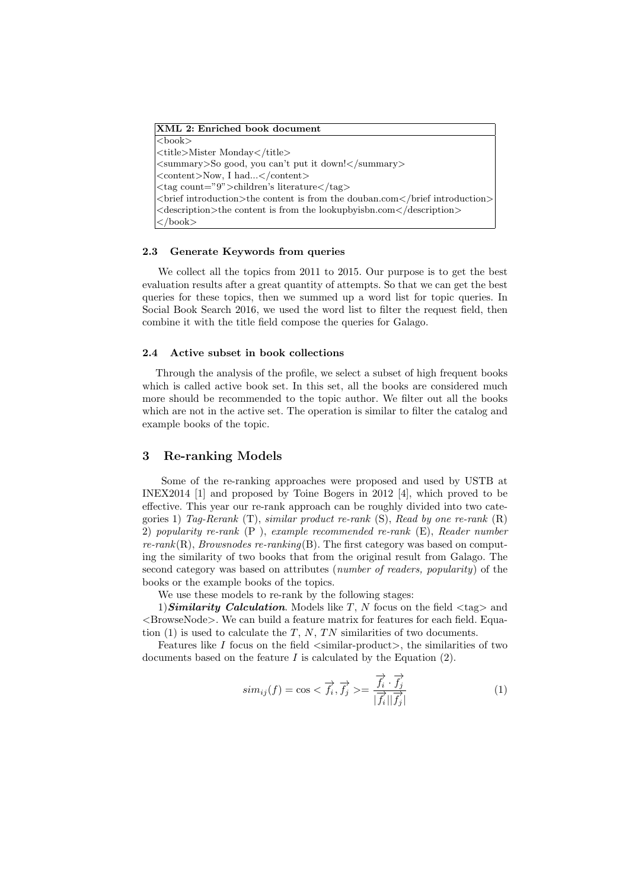| XML 2: Enriched book document                                                                                  |
|----------------------------------------------------------------------------------------------------------------|
| $3$                                                                                                            |
| <title>Mister Monday</title>                                                                                   |
| <summary>So good, you can't put it down!</summary>                                                             |
| $\langle$ content>Now, I had $\langle$ /content>                                                               |
| $\langle \text{tag count="}9" \rangle$ children's literature $\langle \text{tag}\rangle$                       |
| $\langle$ obtainstruction $\rangle$ the content is from the douban.com $\langle$ /brief introduction $\rangle$ |
| $\leq$ description $\geq$ the content is from the lookup by ison.com $\leq$ description $\geq$                 |
| $\langle$ book $\rangle$                                                                                       |

#### 2.3 Generate Keywords from queries

We collect all the topics from 2011 to 2015. Our purpose is to get the best evaluation results after a great quantity of attempts. So that we can get the best queries for these topics, then we summed up a word list for topic queries. In Social Book Search 2016, we used the word list to filter the request field, then combine it with the title field compose the queries for Galago.

#### 2.4 Active subset in book collections

Through the analysis of the profile, we select a subset of high frequent books which is called active book set. In this set, all the books are considered much more should be recommended to the topic author. We filter out all the books which are not in the active set. The operation is similar to filter the catalog and example books of the topic.

### 3 Re-ranking Models

Some of the re-ranking approaches were proposed and used by USTB at INEX2014 [1] and proposed by Toine Bogers in 2012 [4], which proved to be effective. This year our re-rank approach can be roughly divided into two categories 1) Tag-Rerank  $(T)$ , similar product re-rank  $(S)$ , Read by one re-rank  $(R)$ 2) popularity re-rank (P ), example recommended re-rank (E), Reader number  $r_{\rm}$ erank(R), *Browsnodes re-ranking*(B). The first category was based on computing the similarity of two books that from the original result from Galago. The second category was based on attributes (number of readers, popularity) of the books or the example books of the topics.

We use these models to re-rank by the following stages:

1) Similarity Calculation. Models like T, N focus on the field  $\langle \text{tag}\rangle$  and  $\leq$ BrowseNode $>$ . We can build a feature matrix for features for each field. Equation  $(1)$  is used to calculate the T, N, TN similarities of two documents.

Features like I focus on the field  $\langle$  similar-product $\rangle$ , the similarities of two documents based on the feature  $I$  is calculated by the Equation  $(2)$ .

$$
sim_{ij}(f) = \cos < \overrightarrow{f_i}, \overrightarrow{f_j} > = \frac{\overrightarrow{f_i} \cdot \overrightarrow{f_j}}{|\overrightarrow{f_i}||\overrightarrow{f_j}|} \tag{1}
$$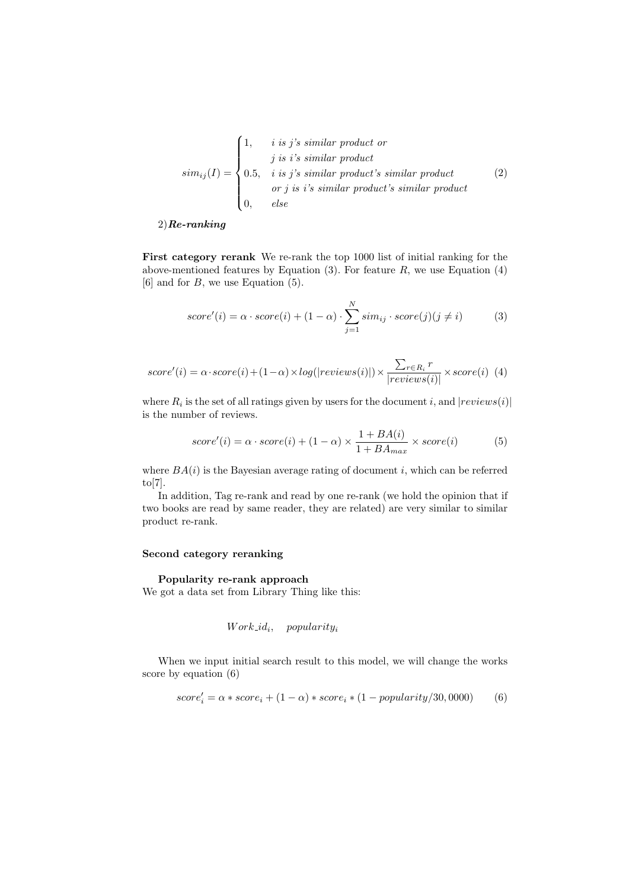$$
sim_{ij}(I) = \begin{cases} 1, & i \text{ is } j's \text{ similar product or} \\ & j \text{ is } i's \text{ similar product} \\ 0.5, & i \text{ is } j's \text{ similar product's similar product} \\ & \text{or } j \text{ is } i's \text{ similar product's similar product} \\ 0, & else \end{cases}
$$
(2)

### $2)$ Re-ranking

First category rerank We re-rank the top 1000 list of initial ranking for the above-mentioned features by Equation  $(3)$ . For feature R, we use Equation  $(4)$  $[6]$  and for  $B$ , we use Equation  $(5)$ .

$$
score'(i) = \alpha \cdot score(i) + (1 - \alpha) \cdot \sum_{j=1}^{N} sim_{ij} \cdot score(j)(j \neq i)
$$
 (3)

$$
score'(i) = \alpha \cdot score(i) + (1 - \alpha) \times log(|reviews(i)|) \times \frac{\sum_{r \in R_i} r}{|reviews(i)|} \times score(i)
$$
(4)

where  $R_i$  is the set of all ratings given by users for the document i, and  $|review(i)|$ is the number of reviews.

$$
score'(i) = \alpha \cdot score(i) + (1 - \alpha) \times \frac{1 + BA(i)}{1 + BA_{max}} \times score(i)
$$
 (5)

where  $BA(i)$  is the Bayesian average rating of document i, which can be referred to[7].

In addition, Tag re-rank and read by one re-rank (we hold the opinion that if two books are read by same reader, they are related) are very similar to similar product re-rank.

### Second category reranking

# Popularity re-rank approach

We got a data set from Library Thing like this:

$$
Work\_id_i, \quad popularity_i
$$

When we input initial search result to this model, we will change the works score by equation (6)

$$
score'_{i} = \alpha * score_{i} + (1 - \alpha) * score_{i} * (1 - popularity/30,0000)
$$
 (6)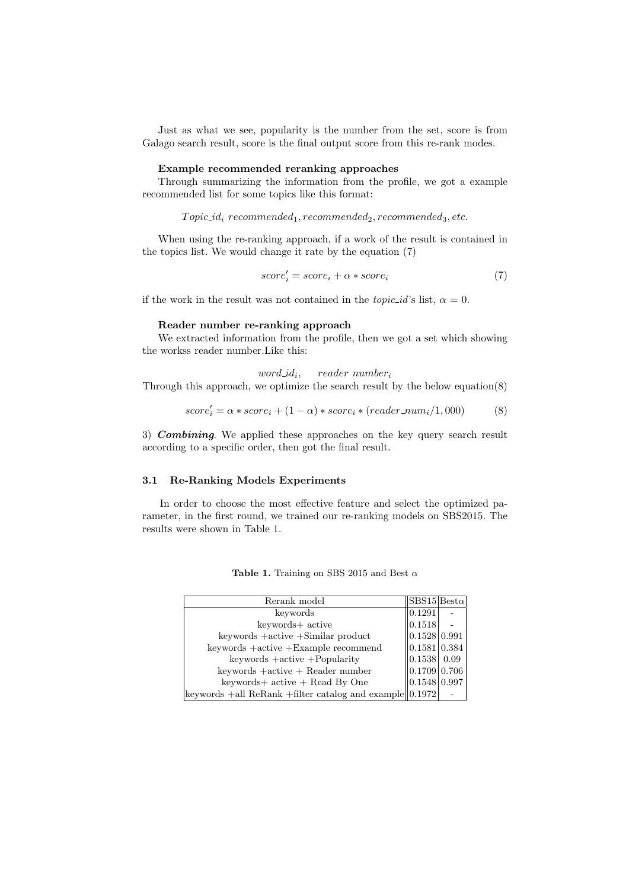Just as what we see, popularity is the number from the set, score is from Galago search result, score is the final output score from this re-rank modes.

#### Example recommended reranking approaches

Through summarizing the information from the profile, we got a example recommended list for some topics like this format:

 $Topic_id_i$  recommended<sub>1</sub>, recommended<sub>2</sub>, recommended<sub>3</sub>, etc.

When using the re-ranking approach, if a work of the result is contained in the topics list. We would change it rate by the equation (7)

$$
score'_{i} = score_{i} + \alpha * score_{i}
$$
\n<sup>(7)</sup>

if the work in the result was not contained in the *topic\_id's* list,  $\alpha = 0$ .

#### Reader number re-ranking approach

We extracted information from the profile, then we got a set which showing the workss reader number.Like this:

 $word_id_i$ ,  $reader\ number_i$ Through this approach, we optimize the search result by the below equation(8)

$$
score_i' = \alpha * score_i + (1 - \alpha) * score_i * (reader\_num_i/1,000) \qquad (8)
$$

3) **Combining**. We applied these approaches on the key query search result according to a specific order, then got the final result.

## 3.1 Re-Ranking Models Experiments

In order to choose the most effective feature and select the optimized parameter, in the first round, we trained our re-ranking models on SBS2015. The results were shown in Table 1.

| Rerank model                                                      | $ {\rm SBS15 Best}\alpha $ |  |
|-------------------------------------------------------------------|----------------------------|--|
| keywords                                                          | 0.1291                     |  |
| keywords+ active                                                  | 0.1518                     |  |
| keywords + active + Similar product                               | 0.1528 0.991               |  |
| $keywords +active +Example recommand$                             | 0.1581 0.384               |  |
| $keywords +active + Popularity$                                   | 0.1538 0.09                |  |
| $keywords + active + Reader number$                               | 0.1709 0.706               |  |
| keywords+ active + Read By One                                    | 0.1548 0.997               |  |
| keywords $+$ all ReRank $+$ filter catalog and example $  0.1972$ |                            |  |

Table 1. Training on SBS 2015 and Best  $\alpha$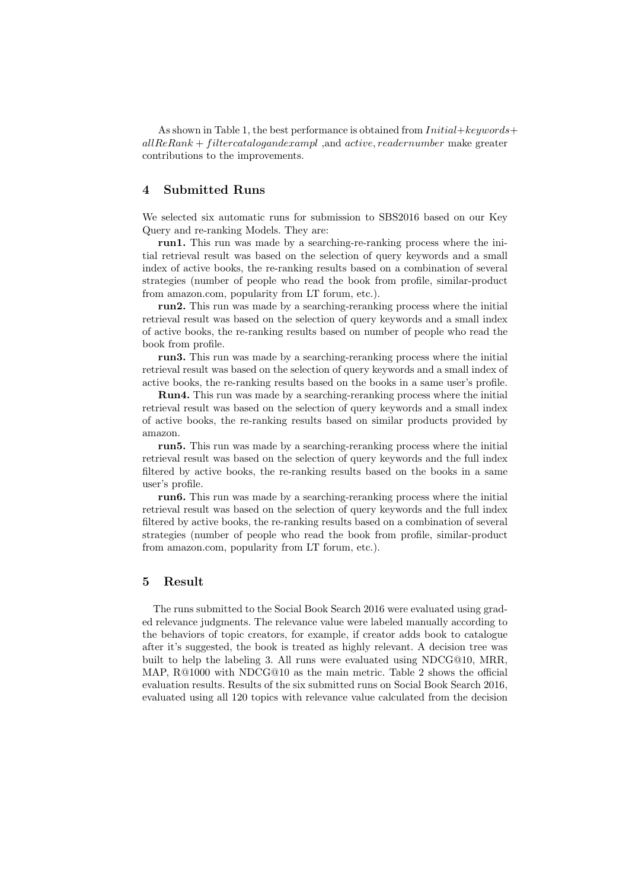As shown in Table 1, the best performance is obtained from  $Initial+keuwords+$  $allReRank + filter catalog and example, and active, reader number make greater$ contributions to the improvements.

# 4 Submitted Runs

We selected six automatic runs for submission to SBS2016 based on our Key Query and re-ranking Models. They are:

run1. This run was made by a searching-re-ranking process where the initial retrieval result was based on the selection of query keywords and a small index of active books, the re-ranking results based on a combination of several strategies (number of people who read the book from profile, similar-product from amazon.com, popularity from LT forum, etc.).

run2. This run was made by a searching-reranking process where the initial retrieval result was based on the selection of query keywords and a small index of active books, the re-ranking results based on number of people who read the book from profile.

run3. This run was made by a searching-reranking process where the initial retrieval result was based on the selection of query keywords and a small index of active books, the re-ranking results based on the books in a same user's profile.

Run4. This run was made by a searching-reranking process where the initial retrieval result was based on the selection of query keywords and a small index of active books, the re-ranking results based on similar products provided by amazon.

run5. This run was made by a searching-reranking process where the initial retrieval result was based on the selection of query keywords and the full index filtered by active books, the re-ranking results based on the books in a same user's profile.

run6. This run was made by a searching-reranking process where the initial retrieval result was based on the selection of query keywords and the full index filtered by active books, the re-ranking results based on a combination of several strategies (number of people who read the book from profile, similar-product from amazon.com, popularity from LT forum, etc.).

# 5 Result

The runs submitted to the Social Book Search 2016 were evaluated using graded relevance judgments. The relevance value were labeled manually according to the behaviors of topic creators, for example, if creator adds book to catalogue after it's suggested, the book is treated as highly relevant. A decision tree was built to help the labeling 3. All runs were evaluated using NDCG@10, MRR, MAP, R@1000 with NDCG@10 as the main metric. Table 2 shows the official evaluation results. Results of the six submitted runs on Social Book Search 2016, evaluated using all 120 topics with relevance value calculated from the decision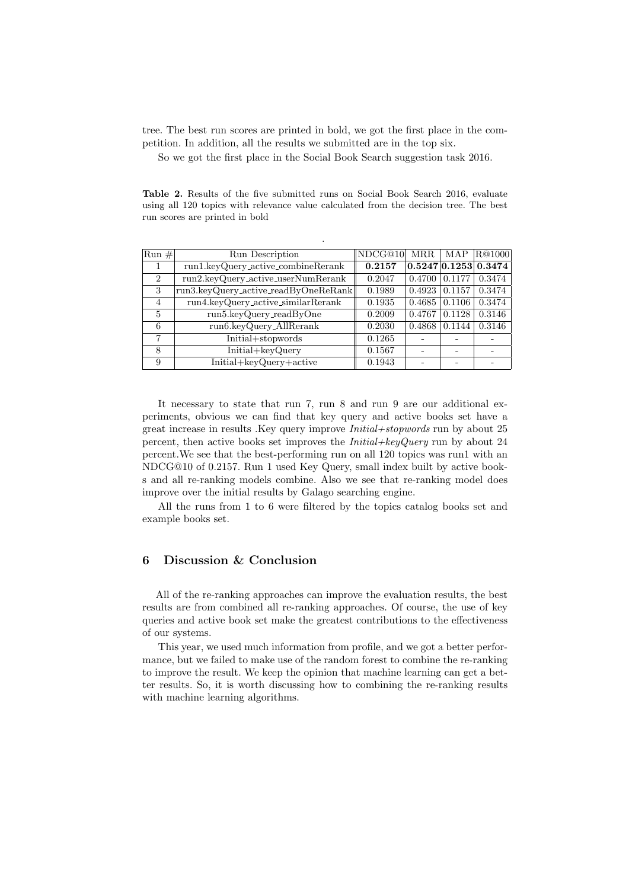tree. The best run scores are printed in bold, we got the first place in the competition. In addition, all the results we submitted are in the top six.

So we got the first place in the Social Book Search suggestion task 2016.

Table 2. Results of the five submitted runs on Social Book Search 2016, evaluate using all 120 topics with relevance value calculated from the decision tree. The best run scores are printed in bold

.

| $Run \#$       | Run Description                      | NDCG@10 | MRR    | MAP    | $\vert$ R@1000 $\vert$                               |
|----------------|--------------------------------------|---------|--------|--------|------------------------------------------------------|
|                | run1.keyQuery_active_combineRerank   | 0.2157  |        |        | $\left  0.5247 \right  0.1253 \left  0.3474 \right $ |
| $\overline{2}$ | run2.keyQuery_active_userNumRerank   | 0.2047  | 0.4700 | 0.1177 | 0.3474                                               |
| 3              | run3.keyQuery_active_readByOneReRank | 0.1989  | 0.4923 | 0.1157 | 0.3474                                               |
| $\overline{4}$ | run4.keyQuery_active_similarRerank   | 0.1935  | 0.4685 | 0.1106 | 0.3474                                               |
| 5              | run5.keyQuery_readByOne              | 0.2009  | 0.4767 | 0.1128 | 0.3146                                               |
| 6              | run6.keyQuery_AllRerank              | 0.2030  | 0.4868 | 0.1144 | 0.3146                                               |
| 7              | Initial+stopwords                    | 0.1265  |        |        |                                                      |
| 8              | Initial+keyQuery                     | 0.1567  |        |        |                                                      |
| 9              | Initial+keyQuery+active              | 0.1943  |        |        |                                                      |

It necessary to state that run 7, run 8 and run 9 are our additional experiments, obvious we can find that key query and active books set have a great increase in results .Key query improve Initial+stopwords run by about 25 percent, then active books set improves the  $Initial+keyQuery$  run by about 24 percent.We see that the best-performing run on all 120 topics was run1 with an NDCG@10 of 0.2157. Run 1 used Key Query, small index built by active books and all re-ranking models combine. Also we see that re-ranking model does improve over the initial results by Galago searching engine.

All the runs from 1 to 6 were filtered by the topics catalog books set and example books set.

# 6 Discussion & Conclusion

All of the re-ranking approaches can improve the evaluation results, the best results are from combined all re-ranking approaches. Of course, the use of key queries and active book set make the greatest contributions to the effectiveness of our systems.

This year, we used much information from profile, and we got a better performance, but we failed to make use of the random forest to combine the re-ranking to improve the result. We keep the opinion that machine learning can get a better results. So, it is worth discussing how to combining the re-ranking results with machine learning algorithms.